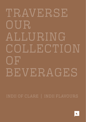# **TRAVERSE** OUR ALLURING COLLECTION O F BEVERAGES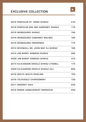## **EXCLUSIVE COLLECTION**



| 2016 PENFOLDS ST. HENRI SHIRAZ         | 210      |
|----------------------------------------|----------|
| 2018 PENFOLDS BIN 389 CABERNET SHIRAZ  | 175      |
| <b>2019 WENDOUREE SHIRAZ</b>           | 190      |
| 2019 WENDOUREE CABERNET MALBEC         | - 180    |
| <b>2019 WENDOUREE PRESSINGS</b>        | 175      |
| 2014 SEVENHILL BR. JOHN MAY SJ SHIRAZ  | 180      |
| 2014 JIM BARRY ARMAGH SHIRAZ           | 380      |
| 2008 JIM BARRY ARMAGH SHIRAZ           | -410     |
| 2014 KILIKANOON ORACLE SHIRAZ (750ML)  | - 175    |
| 2009 KILIKANOON ORACLE SHIRAZ (3L)     | 660      |
| <b>2018 WOLTA WOLTA RIESLING</b>       | - 150    |
| 2019 TOLPUDDLE CHARDONNAY              | 130      |
| <b>2017 GROSSET GAIA</b>               | 220      |
| <b>2018 RENDE VANGUARDIST GRENACHE</b> | 250<br>. |
|                                        |          |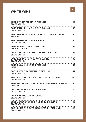## **WHITE WINE**



| 2020 MY BETTER HALF RIESLING<br><b>CLARE VALLEY</b>              | 40   |
|------------------------------------------------------------------|------|
| 2010 MITCHELL MC NICOL RIESLING<br><b>CLARE VALLEY</b>           | 95   |
| 2018 WOLTA WOLTA RIESLING BY LOOSEN BARRY<br>GERMANY             | 130  |
| 2021 GROSSET ALEA RIESLING<br><b>CLARE VALLEY</b>                | 90   |
| 2019 HUGEL CLASSIC RIESLING<br><b>ALSACE, FRANCE</b>             | 59   |
| 2020 JIM BARRY ' THE FLORITA' RIESLING<br><b>CLARE VALLEY</b>    | 95   |
| 2019 KOERNER GRACE 19 RIESLING<br><b>CLARE VALLEY</b>            | 65   |
| 2019 SULA VINEYARDS RIESLING<br><b>INDIA</b>                     | 60   |
| 2021 PIKES TRADITIONALE RIESLING<br><b>CLARE VALLEY</b>          | 47   |
| 2021 PIKES OLGA EMMIE RIESLING (OFF DRY)<br><b>CLARE VALLEY</b>  | 45   |
| 2020 DR LOOSEN WEHLENER SONNENUHR KABINETT<br><b>GERMANY</b>     | - 65 |
| 2021 O'LEARY WALKERE RIESLING<br><b>CLARE VALLEY</b>             | 44   |
| 2021 SKILLOGALEE RIESLING<br><b>CLARE VALLEY</b>                 | 50   |
| 2020 JEANNERET 'BIG FINE GIRL' RIESLING<br><b>CLARE VALLEY</b>   | 45   |
| 2021 SHUT THE GATE 'ROSIE PATCH' RIESLING<br><b>CLARE VALLEY</b> | 44   |
|                                                                  |      |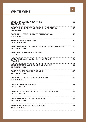## **WHITE WINE**



| 2020 JIM BARRY ASSYRTIKO<br><b>CLARE VALLEY</b>                   | 55  |
|-------------------------------------------------------------------|-----|
| 2019 TOLPUDDLE VINEYARD CHARDONNAY<br><b>TASMANIA</b>             | 130 |
| 2020 HILL SMITH ESTATE CHARDONNAY<br><b>EDEN VALLEY</b>           | 55  |
| 2019 LEKO CHARDONNAY<br><b>ADELAIDE HILLS</b>                     | 65  |
| 2017 MORDRELLE CHARDONNAY 'GRAN RESERVA'<br><b>ADELAIDE HILLS</b> | 71  |
| 2019 LOUIS MICHEL CHABLIS<br><b>FRANCE</b>                        | 81  |
| 2019 WILLIAM FEVRE PETIT CHABLIS<br><b>FRANCE</b>                 | 65  |
| 2020 MORDRELLE GRUNER VELTLINER<br><b>ADELAIDE HILLS</b>          | 55  |
| 2018 TEN MILES EAST ARNEIS<br><b>ADELAIDE HILLS</b>               | 48  |
| <b>2021 MATRIARCH &amp; ROGUE FIANO</b><br><b>MCLAREN VALE</b>    | 46  |
| 2021 GROSSET APIANA<br><b>CLARE VALLEY</b>                        | 55  |
| 2019 CLAYMORE PURPLE RAIN SAUV BLANC<br><b>CLARE VALLEY</b>       | 48  |
| 2020 MORDRELLE SAUV BLANC<br><b>ADELAIDE HILLS</b>                | 48  |
| 2019 PENCARROW SAUV BLANC<br><b>NEW ZEALAND</b>                   | 46  |
|                                                                   |     |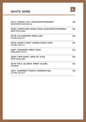## **WHITE WINE**



| <b>2017 FOREST HILL GEWURZSTRAMINER</b><br><b>WESTERN AUSTRALIA</b> | 48 |
|---------------------------------------------------------------------|----|
| 2009 VINOPTIMA BOND ROAD GEWURZSTRAMINER 68<br><b>NEW ZEALAND</b>   |    |
| <b>2018 KILIKANOON SEMILLON</b><br><b>CLARE VALLEY</b>              | 46 |
| 2018 HUNKY DORY WINES PINOT GRIS<br><b>CLARE VALLEY</b>             | 44 |
| 2021 KOERNOR PINOT GRIS<br><b>ADELAIDE HILLS</b>                    | 52 |
| 2020 TWR PINOT GRIS SV 5182<br><b>NEW ZEALAND</b>                   | 50 |
| <b>2019 PAUL BLANCK PINOT BLANC</b><br><b>FRANCE</b>                | 52 |
| 2021 KOERNER PIGATO VERMENTINO<br><b>CLARE VALLEY</b>               | 48 |
|                                                                     |    |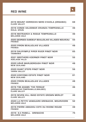# **RED WINE**



| 2019 MOUNT HORROCKS NERO D'AVOLA (ORGANIC)<br><b>CLARE VALLEY</b>                     | 68 |
|---------------------------------------------------------------------------------------|----|
| 2016 CONDE VALDEMAR CRIANZA TEMPRANILLO<br>RIOJA, SPAIN                               | 46 |
| 2018 MATRIARCH & ROGUE TEMPRANILLO<br><b>MCLAREN VALE</b>                             | 46 |
| 2020 GEORGES DUBOEUF BEAUJOLAIS VILLAGES NOUVEAU       55<br><b>FRANCE</b>            |    |
| .<br>2020 PIRON BEAUJOLAIS VILLAGES<br><b>FRANCE</b>                                  | 48 |
| .<br>2019 DALRYMPLE PIPER RIVER PINOT NOIR<br>TASMANIA                                | 65 |
| 2021 BROTHERS KOERNER PINOT NOIR<br><b>ADELAIDE HILLS</b>                             | 52 |
| 2020 HAHA MARLBOROUGH PINOT NOIR<br><b>NEW ZEALAND</b>                                | 48 |
| 2020 GIANT STEPS PINOT NOIR<br>YARRA VALLEY                                           | 56 |
| 2020 KOOYONG ESTATE PINOT NOIR<br><b>NEW ZEALAND</b>                                  | 81 |
| 2020 PIRON BEAUJOLAIS VILLAGES<br><b>FRANCE</b>                                       | 48 |
| 2016 TIM ADAMS 'THE FERGUS'<br>(GRENACHE, TEMPRANILLO, MALBEC)<br><b>CLARE VALLEY</b> | 46 |
| 2019 SEVEN HILL INIGO ESTATE GROWN MERLOT<br><b>CLARE VALLEY</b>                      | 46 |
| 2020 LA PETITE VANGUARD GRENACHE. MOURVEDRE<br><b>MCLAREN VALE</b>                    | 52 |
| 2019 PIERRE AMADIEU COTE DU RHONE ROUGE<br><b>FRANCE</b>                              | 48 |
| 2019 S.C PANELL. GRENACHE<br><b>MCLAREN VALE</b>                                      | 75 |
|                                                                                       |    |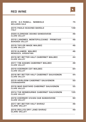## **RED WINE**



| 2016 S.C PANELL. NEBBIOLO<br><b>MCLAREN VALE</b>                  | 75   |
|-------------------------------------------------------------------|------|
| 2015 PAOLO SCAVINO BAROLO<br><b>ITALY</b>                         | 148  |
| 2020 ELDREDGE DEANO SANGIOVESE<br><b>CLARE VALLEY</b>             | 46   |
| 2019 LANGMEIL MONTEPULCIANO - PRIMITIVO<br><b>BAROSSA VALLEY</b>  | -48  |
| 2019 TAYLOR MADE MALBEC<br><b>CLARE VALLEY</b>                    | 46   |
| <br><b>2019 ALAMOS MALBEC</b><br><b>MENDOZA, ARGENTINA</b>        | 46   |
| 2019 MY BETTER HALF CABERNET MALBEC<br><b>CLARE VALLEY</b>        | 44   |
| 2017 TIM ADAMS CABERNET MALBEC<br><b>CLARE VALLEY</b>             | 48   |
| 2019 KOERNOR COT MALBEC<br><b>CLARE VALLEY</b>                    | 84   |
| 2018 MY BETTER HALF CABERNET SAUVIGNON<br><b>CLARE VALLEY</b>     | -44  |
| 2019 HEIRLOOM CABERNET SAUVIGNON<br><b>COONAWARRA</b>             | 50   |
| 2018 MAD BASTARD CABERNET SAUVIGNON<br><b>CLARE VALLEY</b>        | - 55 |
| <br>2014 THE BENBOURNIE CABERNET SAUVIGNON<br><b>CLARE VALLEY</b> | 135  |
| 2018 KOERNOR VIVIAN CAB SANGIOVESE<br><b>CLARE VALLEY</b>         | 90   |
| 2017 MY BETTER HALF SHIRAZ<br><b>CLARE VALLEY</b>                 | 46   |
| 2016 REILLYS DRY LAND SHIRAZ<br><b>CLARE VALLEY</b>               | 49   |
|                                                                   |      |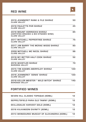## **RED WINE**



| <b>2019 JEANNERET RANK &amp; FILE SHIRAZ</b><br><b>CLARE VALLEY</b>                                | 50  |
|----------------------------------------------------------------------------------------------------|-----|
| <b>2018 PAULETTS PHR SHIRAZ</b><br><b>CLARE VALLEY</b>                                             | 45  |
| <b>2018 MOUNT HORROCKS SHIRAZ</b><br>(CERTIFIED ORGANIC & BIO DYNAMIC WINE)<br><b>CLARE VALLEY</b> | 85  |
| 2017 MITCHELL PEPPERTREE SHIRAZ<br><b>CLARE VALLEY</b>                                             | 75  |
| 2017 JIM BARRY THE MCRAE WOOD SHIRAZ<br><b>CLARE VALLEY</b>                                        | 90  |
| <b>2008 MITCHELL MC NICOL SHIRAZ</b><br><b>CLARE VALLEY</b>                                        | 98  |
| 2018 MY BETTER HALF COOK SHIRAZ<br><b>CLARE VALLEY</b>                                             | 52  |
| <b>2018 WHISTLER SHIRAZ</b><br><b>BAROSSA VALLEY</b>                                               | 70  |
| 2015 TIM ADAMS ABERFELDY SHIRAZ<br><b>CLARE VALLEY</b>                                             | 120 |
| <b>2016 JEANNERET 'DENIS' SHIRAZ</b><br><b>CLARE VALLEY</b>                                        | 120 |
| 2018 KELLER MEISTER " WILD WITCH" SHIRAZ<br><b>BAROSSA VALLEY</b>                                  | 140 |
| <b>FORTIFIED WINES</b>                                                                             |     |

| <b>SEVEN HILL CLASSIC TOPAQUE (90ML)</b>   | 12. |
|--------------------------------------------|-----|
| SEPPELTSFIELD PARA OLD TAWNY (90ML)        | 12  |
| <b>SKILLOGALEE HARVEST GOLD (90ML)</b>     | 12  |
| 2016 KILKANOON DIVINITY (90ML)             | 12  |
| 2013 WENDOUREE MUSCAT OF ALEXANDRIA (60ML) | 12  |
|                                            |     |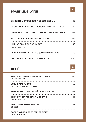## **SPARKLING WINE**



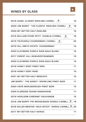# **WINES BY GLASS**



| 2019 HUGEL CLASSIC RIESLING (120ML)                               | 16 |
|-------------------------------------------------------------------|----|
| 2020 JIM BARRY ' THE FLORITA' RIESLING (120ML)                    | 16 |
| 2020 MY BETTER HALF RIESLING                                      | 10 |
| 2019 WILLIAM FEVRE PETIT CHABLIS (120ML)                          | 16 |
| 2019 TOLPUDDLE CHARDONNAY (120ML)                                 | 25 |
| 2019 HILL SMITH ESTATE CHARDONNAY                                 | 12 |
| 2020 CLAYMORE PURPLE RAIN SAUV BLANC                              | 12 |
| 2017 FOREST HILL GEWURZSTRAMINER                                  | 10 |
| 2020 CLAYMORE PURPLE RAIN SAUV BLANC                              | 12 |
| 2018 HUNKY DORY PINOT GRIS                                        | 11 |
| 2018 HUNKY DORY ROSÉ                                              | 10 |
| 2021 MY BETTER HALF MOSCATO                                       | 10 |
| JIM BARRY " THE NANCY" SPARKLING PINOT NOIR                       | 11 |
| 2020 HÃHÃ MARLBOROUGH PINOT NOIR                                  | 12 |
| 2020 ELDREDGE DEANO SANGIOVESE                                    | 11 |
| 2019 HEIRLOOM CABERNET SAUVIGNON                                  | 12 |
| 2016 JIM BARRY THE MCRAEWOOD SHIRAZ (120ML) $\sum_{\text{cross}}$ |    |
| 2018 KELLER MEISTER "WILD WITCH" SHIRAZ (120ML)                   |    |
| 2017 MY BETTER HALF SHIRAZ                                        | 11 |
|                                                                   |    |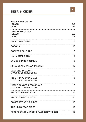## **BEER & CIDER**



| <b>KINGFISHER ON TAP</b><br>(GLASS)<br>[JUG]                 | 9.5<br>27 |
|--------------------------------------------------------------|-----------|
| .<br><br>INDII SESSION ALE<br>(GLASS)<br>[JUG]               | 9.5<br>27 |
| <b>GREAT NORTHERN</b>                                        | 9         |
| CORONA                                                       | 10        |
| <b>COOPERS PALE ALE</b>                                      | 9         |
| <b>HAHN SUPER DRY</b>                                        | 9         |
| JAMES BOAGS PREMIUM                                          | 9         |
| PIKES CLARE VALLEY PILSNER                                   | .<br>10   |
| <b>EAST END DRAUGHT</b><br>LITTLE BANG BREWING CO            | 9         |
| <b>ICON HOPPY STEAM ALE</b><br><b>LITTLE BANG BREWING CO</b> | 9         |
| <b>LITTLE BANGER SESSION ALE</b><br>LITTLE BANG BREWING CO   | 9         |
| <b>MATSO'S MANGO BEER</b>                                    | 10        |
| <b>MATSO'S GINGER BEER</b>                                   | 10        |
| SOMERSBY APPLE CIDER                                         | 10        |
| THE HILLS PEAR CIDER                                         | 10        |
| REKORDERLIG MANGO & RASPBERRY CIDER                          | 10        |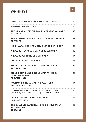## **WHISKEYS**



| AMRUT FUSION INDIAN SINGLE MALT WHISKEY                                                       | 10  |
|-----------------------------------------------------------------------------------------------|-----|
| RAMPUR INDIAN WHISKEY                                                                         | 16  |
| THE YAMAZAKI SINGLE MALT JAPANESE WHISKEY<br><b>12 YEARS</b>                                  | 32  |
| THE HAKUSHU SINGLE MALT JAPANESE WHISKEY<br><b>12 YEARS</b>                                   | 35  |
| HIBIKI JAPANESE HARMONY BLENDED WHISKEY                                                       | 23  |
| NIKKA COFFEY GRAIN JAPANESE WHISKEY                                                           | 15  |
| NIKKA SUPER RARE OLD WHISKEY                                                                  | 14  |
| CHITA JAPANESE WHISKEY                                                                        | 15  |
| 5NINES DISTILLING SINGLE MALT WHISKEY<br><b>ADELAIDE HILLS</b>                                | 24  |
| <b>5NINES DISTILLING SINGLE MALT WHISKEY</b><br><b>CASK STRENGTH</b><br><b>ADELAIDE HILLS</b> | -28 |
| AULTMORE SINGLE MALT 12-YEAR- OLD<br><b>SPEYSIDE, SCOTLAND</b>                                | 14  |
| LONGMORN SINGLE MALT SCOTCH 16 YEARS<br>SPEYSIDE, SCOTLAND (DISTILLERS CHOICE)                | 15  |
| LAGAVULIN SINGLE MALT 16 -YEAR- OLD<br><b>ISLAY, SCOTLAND</b>                                 | 16  |
| THE BALVENIE CARIBBEAN CASK SINGLE MALT<br>14 -YEAR- OLD<br><b>SCOTLAND</b>                   | 15  |
|                                                                                               |     |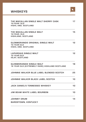## **WHISKEYS**



| THE MACALLAN SINGLE MALT SHERRY CASK<br>12-YEAR- OLD<br><b>HIGHL AND, SCOTLAND</b>           | 17 |
|----------------------------------------------------------------------------------------------|----|
| THE MACALLAN SINGLE MALT<br>12-YEAR- OLD<br>HIGHLAND, SCOTLAND                               | 15 |
| <b>GLENMORANGIE ORIGINAL SINGLE MALT</b><br><b>10 YEAR OLD</b><br><b>HIGHL AND, SCOTLAND</b> | 12 |
| LAPHROAIG SINGLE MALT<br><b>10 YEAR OLD</b><br><b>ISLAY, SCOTLAND</b>                        | 12 |
| <b>GLENMORANGIE SINGLE MALT</b><br>18 YEAR OLD (EXTREMELY RARE) HIGHLAND SCOTLAND            | 18 |
| JOHNNIE WALKER BLUE LABEL BLENDED SCOTCH 25                                                  |    |
| JOHNNIE WALKER BLACK LABEL SCOTCH                                                            | 10 |
| <b>JACK DANIEL'S TENNESSEE WHISKEY</b>                                                       | 10 |
| JIM BEAM WHITE LABEL BOURBON                                                                 | 10 |
| <b>JOHNNY DRUM</b><br><b>BARDSTOWN, KENTUCKY</b>                                             | 14 |
|                                                                                              |    |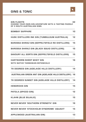## **GINS & TONIC**



| <b>GIN FLIGHTS</b><br>CHOOSE YOUR OWN GIN ADVENTURE WITH A TASTING PADDLE<br>OF 3 SOUTH AUSTRALIAN GINS. | 32 |
|----------------------------------------------------------------------------------------------------------|----|
| <b>BOMBAY SAPPHIRE</b>                                                                                   | 10 |
| HUSK DISTILLERS INK GIN (TUMBULGUM AUSTRALIA) 12                                                         |    |
| BAROSSA SHIRAZ GIN (SEPPELTSFIELD RD DISTILLERS) 15                                                      |    |
| <b>BAROSSA SHIRAZ GIN (BLACK SQUID DISTILLERS)</b>                                                       | 15 |
| SAVOURY ALL SORTS GIN (SEPPELTSFIELD DISTILLERS)                                                         | 15 |
| <b>HARTSHORN SHEEP WHEY GIN</b><br>WITH NATIVE TASMANIAN BOTANICALS                                      | 16 |
| 78 DEGREES GIN (ADELAIDE HILLS DISTILLERY)                                                               | 14 |
| AUSTRALIAN GREEN ANT GIN (ADELAIDE HILLS DISTILLERY) 16                                                  |    |
| 78 DEGREES SUNSET GIN (ADELAIDE HILLS DISTILLERY)                                                        | 14 |
| <b>HENDRICKS GIN</b>                                                                                     | 15 |
| PATOLA (SPICED GIN)                                                                                      | 12 |
| <b>KLAHN (BLUE BUJALIE)</b>                                                                              | 15 |
| <b>NEVER NEVER 'SOUTHERN STRENGTH' GIN</b>                                                               | 16 |
| NEVER NEVER 'STOCKHOLM SYNDROME' AQUAVIT                                                                 | 15 |
| APPLEWOOD (AUSTRALIAN GIN)                                                                               | 13 |
|                                                                                                          |    |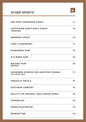## **OTHER SPIRITS**

| 11 |
|----|
| 14 |
| 10 |
| 11 |
| 10 |
| 10 |
| 10 |
| 11 |
| 10 |
| 10 |
| 10 |
| 10 |
| 10 |
| 10 |
|    |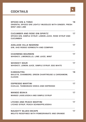## **COCKTAILS**



| <b>SPICED GIN &amp; TONIC</b><br>ORIENTAL SPICED GIN LIGHTLY MUDDLED WITH GINGER. FRESH<br><b>MINT AND LIME</b> | 18 |
|-----------------------------------------------------------------------------------------------------------------|----|
| CUCUMBER AND ROSE GIN SPIRITZ<br>SPICED GIN, SIMPLE SYRUP, LEMON JUICE, ROSE SYRUP AND<br><b>CUCUMBER</b>       | 17 |
| ADELAIDE HILLS NEGRONI<br>GIN, AHD ROSSO VERMOUTH AND COMPARI                                                   | 17 |
| <b>CHARMING BOURBON</b><br>WHISKEY, LIMONCELLO, LIME JUICE, MINT                                                | 17 |
| <b>WHISKEY SOUR</b><br>WHISKEY, LEMON JUICE, SIMPLE SYRUP, EGG WHITE                                            | 17 |
| <b>KAMASUTRA</b><br>BAILEYS, CHAMBORD, GREEN CHARTREUSE & CARDAMOM,<br><b>CLOVES</b>                            | 18 |
| <b>ESPRESSO MARTINI</b><br>KAHLUA, TASMANIAN VODKA AND ESPRESSO                                                 | 17 |
| <b>MANGO BOAKA</b><br><b>MANGO LASSI, VODKA AND SIMPLE SYRUP</b>                                                | 17 |
| LYCHEE AND PEACH MARTINI<br>LYCHEE SYRUP, PEACH SCHNAPPS, VODKA                                                 | 17 |
| <b>NAUGHTY BLUES ESCAPE</b><br>MOJITO REDEFINED WITH POMEGRANATE AND ORANGE                                     | 17 |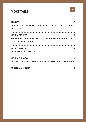## **MOCKTAILS**



| <b>CRUSTA</b>                                           | 14 |
|---------------------------------------------------------|----|
| ORANGE JUICE, CHERRY SYRUP, ANGOSTURA BITTER, SUGAR RIM |    |
| <b>AND CHERRY</b>                                       |    |
|                                                         |    |
| 14<br><b>VIRGIN MOJITO</b>                              |    |
| FRESH MINT LEAVES, FRESH LIME JUICE, SIMPLE SYRUP AND A |    |
| <b>DASH OF SODA WATER</b>                               |    |
|                                                         |    |
| <b>PINK LEMONADE</b>                                    | 14 |
| ROSE SYRUP, LEMONADE                                    |    |
|                                                         |    |
| <b>VIRGIN COLADA</b><br>14                              |    |
| COCONUT CREAM, SIMPLE SYRUP, PINEAPPLE JUICE AND CREAM  |    |
|                                                         |    |
| <b>FRESH LIME SODA</b>                                  | 6  |
|                                                         |    |